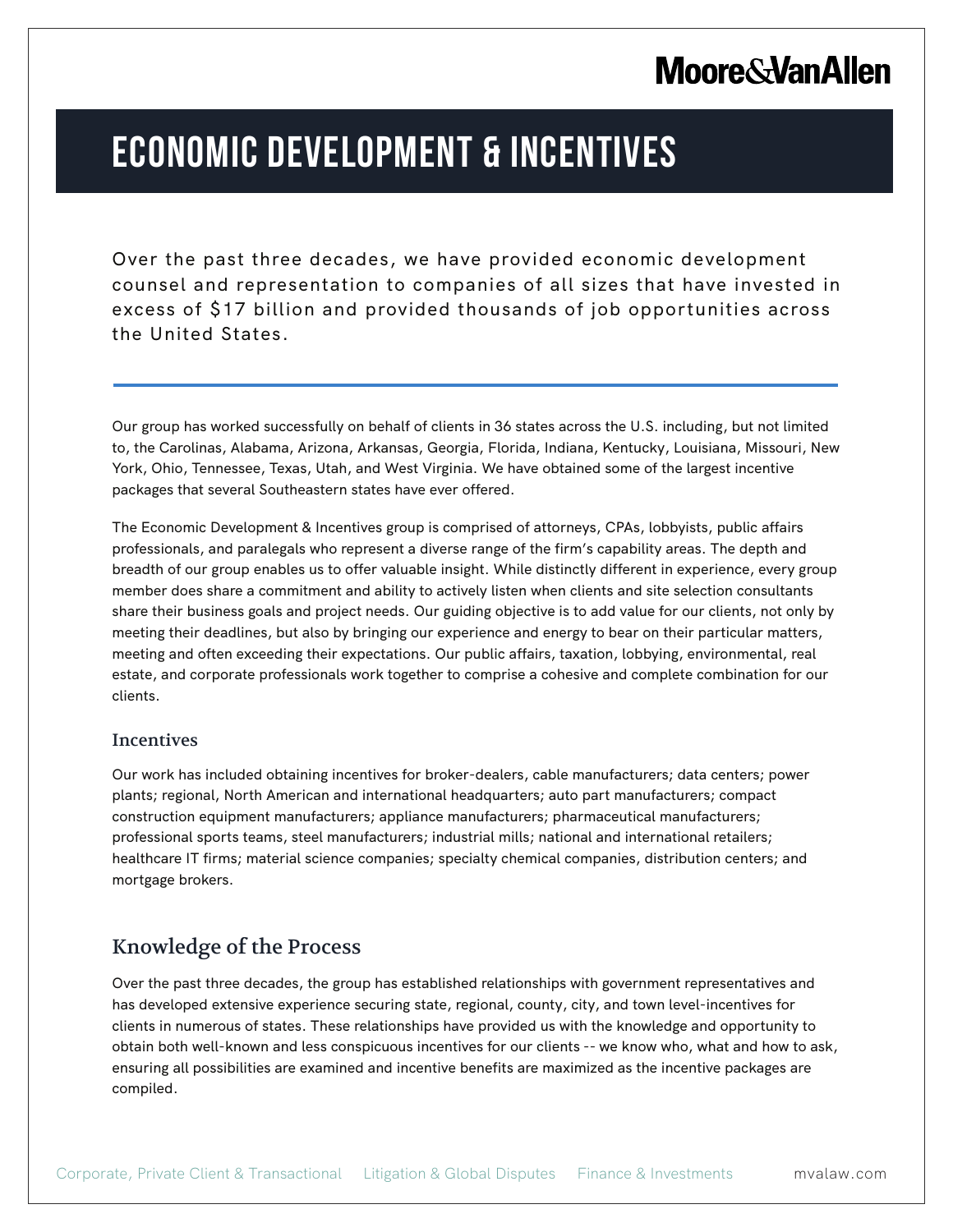## **Moore & Van Allen**

# **ECONOMIC DEVELOPMENT & INCENTIVES**

Over the past three decades, we have provided economic development counsel and representation to companies of all sizes that have invested in excess of \$17 billion and provided thousands of job opportunities across the United States.

Our group has worked successfully on behalf of clients in 36 states across the U.S. including, but not limited to, the Carolinas, Alabama, Arizona, Arkansas, Georgia, Florida, Indiana, Kentucky, Louisiana, Missouri, New York, Ohio, Tennessee, Texas, Utah, and West Virginia. We have obtained some of the largest incentive packages that several Southeastern states have ever offered.

The Economic Development & Incentives group is comprised of attorneys, CPAs, lobbyists, public affairs professionals, and paralegals who represent a diverse range of the firm's capability areas. The depth and breadth of our group enables us to offer valuable insight. While distinctly different in experience, every group member does share a commitment and ability to actively listen when clients and site selection consultants share their business goals and project needs. Our guiding objective is to add value for our clients, not only by meeting their deadlines, but also by bringing our experience and energy to bear on their particular matters, meeting and often exceeding their expectations. Our public affairs, taxation, lobbying, environmental, real estate, and corporate professionals work together to comprise a cohesive and complete combination for our clients.

#### Incentives

L

Our work has included obtaining incentives for broker-dealers, cable manufacturers; data centers; power plants; regional, North American and international headquarters; auto part manufacturers; compact construction equipment manufacturers; appliance manufacturers; pharmaceutical manufacturers; professional sports teams, steel manufacturers; industrial mills; national and international retailers; healthcare IT firms; material science companies; specialty chemical companies, distribution centers; and mortgage brokers.

#### Knowledge of the Process

Over the past three decades, the group has established relationships with government representatives and has developed extensive experience securing state, regional, county, city, and town level-incentives for clients in numerous of states. These relationships have provided us with the knowledge and opportunity to obtain both well-known and less conspicuous incentives for our clients -- we know who, what and how to ask, ensuring all possibilities are examined and incentive benefits are maximized as the incentive packages are compiled.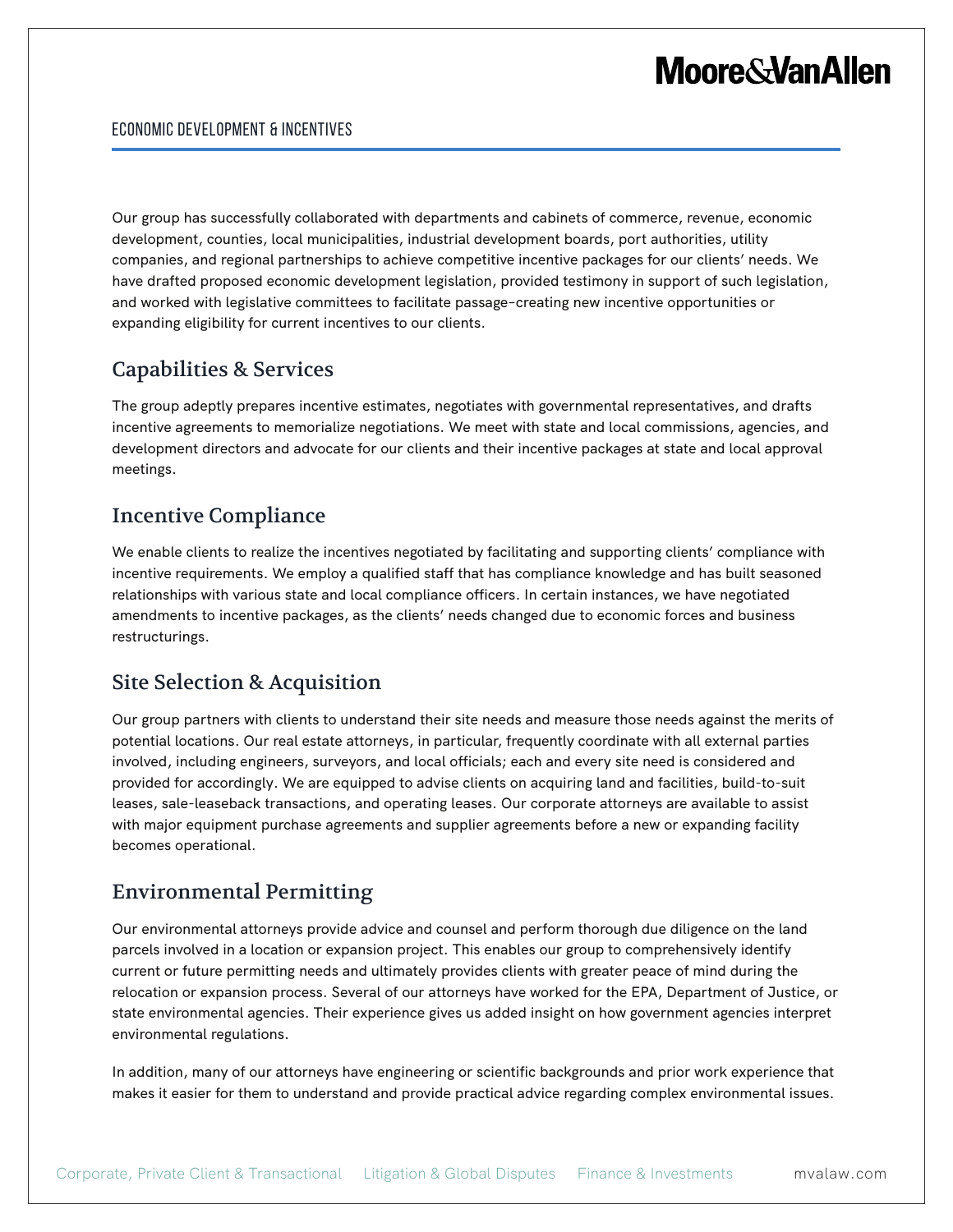## **Moore & Van Allen**

Our group has successfully collaborated with departments and cabinets of commerce, revenue, economic development, counties, local municipalities, industrial development boards, port authorities, utility companies, and regional partnerships to achieve competitive incentive packages for our clients' needs. We have drafted proposed economic development legislation, provided testimony in support of such legislation, and worked with legislative committees to facilitate passage–creating new incentive opportunities or expanding eligibility for current incentives to our clients.

#### Capabilities & Services

The group adeptly prepares incentive estimates, negotiates with governmental representatives, and drafts incentive agreements to memorialize negotiations. We meet with state and local commissions, agencies, and development directors and advocate for our clients and their incentive packages at state and local approval meetings.

### Incentive Compliance

We enable clients to realize the incentives negotiated by facilitating and supporting clients' compliance with incentive requirements. We employ a qualified staff that has compliance knowledge and has built seasoned relationships with various state and local compliance officers. In certain instances, we have negotiated amendments to incentive packages, as the clients' needs changed due to economic forces and business restructurings.

#### Site Selection & Acquisition

Our group partners with clients to understand their site needs and measure those needs against the merits of potential locations. Our real estate attorneys, in particular, frequently coordinate with all external parties involved, including engineers, surveyors, and local officials; each and every site need is considered and provided for accordingly. We are equipped to advise clients on acquiring land and facilities, build-to-suit leases, sale-leaseback transactions, and operating leases. Our corporate attorneys are available to assist with major equipment purchase agreements and supplier agreements before a new or expanding facility becomes operational.

#### Environmental Permitting

Our environmental attorneys provide advice and counsel and perform thorough due diligence on the land parcels involved in a location or expansion project. This enables our group to comprehensively identify current or future permitting needs and ultimately provides clients with greater peace of mind during the relocation or expansion process. Several of our attorneys have worked for the EPA, Department of Justice, or state environmental agencies. Their experience gives us added insight on how government agencies interpret environmental regulations.

In addition, many of our attorneys have engineering or scientific backgrounds and prior work experience that makes it easier for them to understand and provide practical advice regarding complex environmental issues.